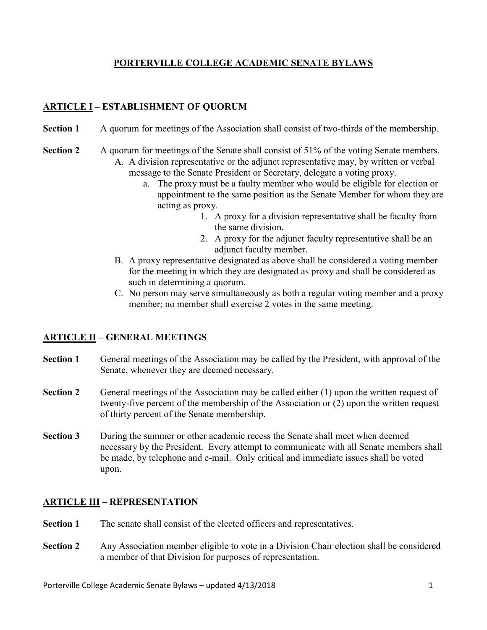## **PORTERVILLE COLLEGE ACADEMIC SENATE BYLAWS**

# **ARTICLE I – ESTABLISHMENT OF QUORUM**

- **Section 1** A quorum for meetings of the Association shall consist of two-thirds of the membership.
- **Section 2** A quorum for meetings of the Senate shall consist of 51% of the voting Senate members. A. A division representative or the adjunct representative may, by written or verbal message to the Senate President or Secretary, delegate a voting proxy.
	- a. The proxy must be a faulty member who would be eligible for election or appointment to the same position as the Senate Member for whom they are acting as proxy.
		- 1. A proxy for a division representative shall be faculty from the same division.
		- 2. A proxy for the adjunct faculty representative shall be an adjunct faculty member.
	- B. A proxy representative designated as above shall be considered a voting member for the meeting in which they are designated as proxy and shall be considered as such in determining a quorum.
	- C. No person may serve simultaneously as both a regular voting member and a proxy member; no member shall exercise 2 votes in the same meeting.

## **ARTICLE II – GENERAL MEETINGS**

- **Section 1** General meetings of the Association may be called by the President, with approval of the Senate, whenever they are deemed necessary.
- **Section 2** General meetings of the Association may be called either (1) upon the written request of twenty-five percent of the membership of the Association or (2) upon the written request of thirty percent of the Senate membership.
- **Section 3** During the summer or other academic recess the Senate shall meet when deemed necessary by the President. Every attempt to communicate with all Senate members shall be made, by telephone and e-mail. Only critical and immediate issues shall be voted upon.

## **ARTICLE III – REPRESENTATION**

- **Section 1** The senate shall consist of the elected officers and representatives.
- **Section 2** Any Association member eligible to vote in a Division Chair election shall be considered a member of that Division for purposes of representation.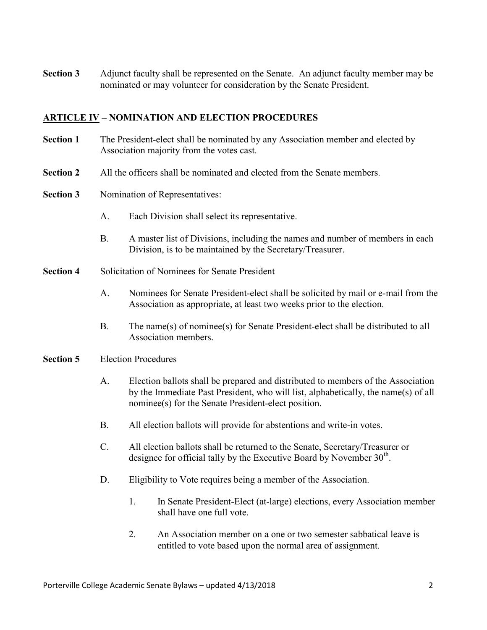**Section 3** Adjunct faculty shall be represented on the Senate. An adjunct faculty member may be nominated or may volunteer for consideration by the Senate President.

## **ARTICLE IV – NOMINATION AND ELECTION PROCEDURES**

- **Section 1** The President-elect shall be nominated by any Association member and elected by Association majority from the votes cast.
- **Section 2** All the officers shall be nominated and elected from the Senate members.
- **Section 3** Nomination of Representatives:
	- A. Each Division shall select its representative.
	- B. A master list of Divisions, including the names and number of members in each Division, is to be maintained by the Secretary/Treasurer.
- **Section 4** Solicitation of Nominees for Senate President
	- A. Nominees for Senate President-elect shall be solicited by mail or e-mail from the Association as appropriate, at least two weeks prior to the election.
	- B. The name(s) of nominee(s) for Senate President-elect shall be distributed to all Association members.

#### **Section 5** Election Procedures

- A. Election ballots shall be prepared and distributed to members of the Association by the Immediate Past President, who will list, alphabetically, the name(s) of all nominee(s) for the Senate President-elect position.
- B. All election ballots will provide for abstentions and write-in votes.
- C. All election ballots shall be returned to the Senate, Secretary/Treasurer or designee for official tally by the Executive Board by November  $30<sup>th</sup>$ .
- D. Eligibility to Vote requires being a member of the Association.
	- 1. In Senate President-Elect (at-large) elections, every Association member shall have one full vote.
	- 2. An Association member on a one or two semester sabbatical leave is entitled to vote based upon the normal area of assignment.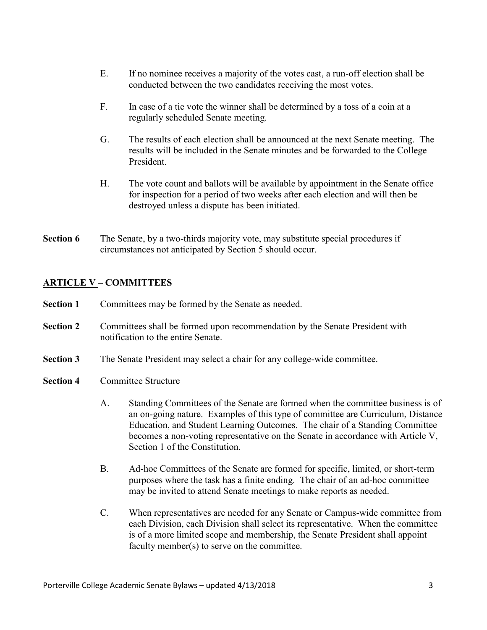- E. If no nominee receives a majority of the votes cast, a run-off election shall be conducted between the two candidates receiving the most votes.
- F. In case of a tie vote the winner shall be determined by a toss of a coin at a regularly scheduled Senate meeting.
- G. The results of each election shall be announced at the next Senate meeting. The results will be included in the Senate minutes and be forwarded to the College President.
- H. The vote count and ballots will be available by appointment in the Senate office for inspection for a period of two weeks after each election and will then be destroyed unless a dispute has been initiated.
- **Section 6** The Senate, by a two-thirds majority vote, may substitute special procedures if circumstances not anticipated by Section 5 should occur.

## **ARTICLE V – COMMITTEES**

- **Section 1** Committees may be formed by the Senate as needed.
- **Section 2** Committees shall be formed upon recommendation by the Senate President with notification to the entire Senate.
- **Section 3** The Senate President may select a chair for any college-wide committee.
- **Section 4** Committee Structure
	- A. Standing Committees of the Senate are formed when the committee business is of an on-going nature. Examples of this type of committee are Curriculum, Distance Education, and Student Learning Outcomes. The chair of a Standing Committee becomes a non-voting representative on the Senate in accordance with Article V, Section 1 of the Constitution.
	- B. Ad-hoc Committees of the Senate are formed for specific, limited, or short-term purposes where the task has a finite ending. The chair of an ad-hoc committee may be invited to attend Senate meetings to make reports as needed.
	- C. When representatives are needed for any Senate or Campus-wide committee from each Division, each Division shall select its representative. When the committee is of a more limited scope and membership, the Senate President shall appoint faculty member(s) to serve on the committee.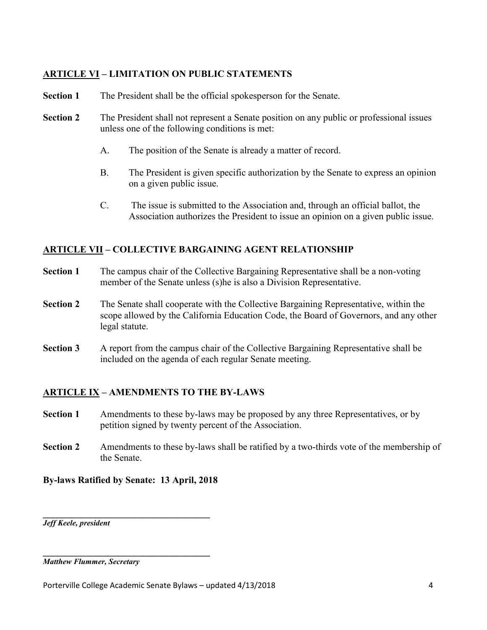## **ARTICLE VI – LIMITATION ON PUBLIC STATEMENTS**

- **Section 1** The President shall be the official spokesperson for the Senate.
- **Section 2** The President shall not represent a Senate position on any public or professional issues unless one of the following conditions is met:
	- A. The position of the Senate is already a matter of record.
	- B. The President is given specific authorization by the Senate to express an opinion on a given public issue.
	- C. The issue is submitted to the Association and, through an official ballot, the Association authorizes the President to issue an opinion on a given public issue.

## **ARTICLE VII – COLLECTIVE BARGAINING AGENT RELATIONSHIP**

- **Section 1** The campus chair of the Collective Bargaining Representative shall be a non-voting member of the Senate unless (s)he is also a Division Representative.
- **Section 2** The Senate shall cooperate with the Collective Bargaining Representative, within the scope allowed by the California Education Code, the Board of Governors, and any other legal statute.
- **Section 3** A report from the campus chair of the Collective Bargaining Representative shall be included on the agenda of each regular Senate meeting.

## **ARTICLE IX – AMENDMENTS TO THE BY-LAWS**

- **Section 1** Amendments to these by-laws may be proposed by any three Representatives, or by petition signed by twenty percent of the Association.
- **Section 2** Amendments to these by-laws shall be ratified by a two-thirds vote of the membership of the Senate.

#### **By-laws Ratified by Senate: 13 April, 2018**

 $\mathcal{L} = \{ \mathcal{L} \}$ 

**\_\_\_\_\_\_\_\_\_\_\_\_\_\_\_\_\_\_\_\_\_\_\_\_\_\_\_\_\_\_\_\_\_\_\_**

*Jeff Keele, president*

*Matthew Flummer, Secretary*